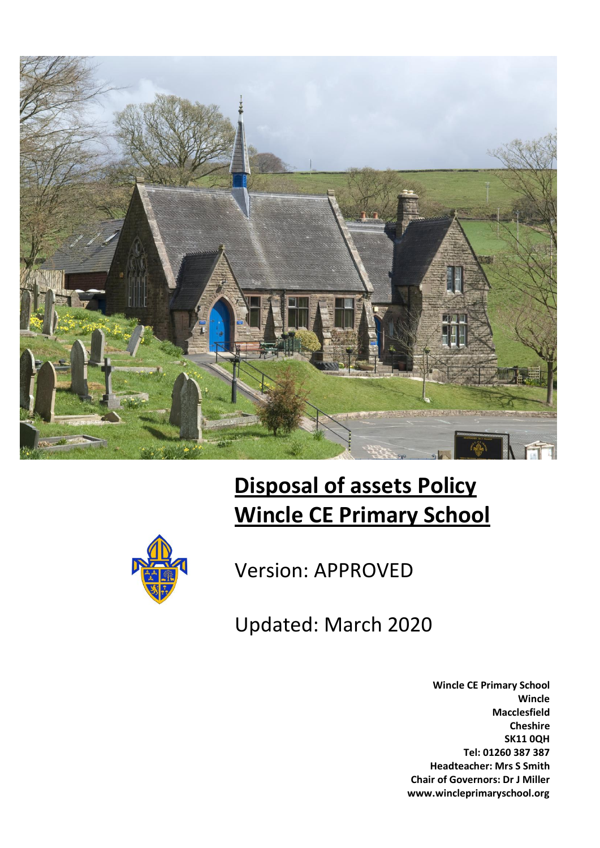

# **Disposal of assets Policy Wincle CE Primary School**



Version: APPROVED

Updated: March 2020

**Wincle CE Primary School Wincle Macclesfield Cheshire SK11 0QH Tel: 01260 387 387 Headteacher: Mrs S Smith Chair of Governors: Dr J Miller www.wincleprimaryschool.org**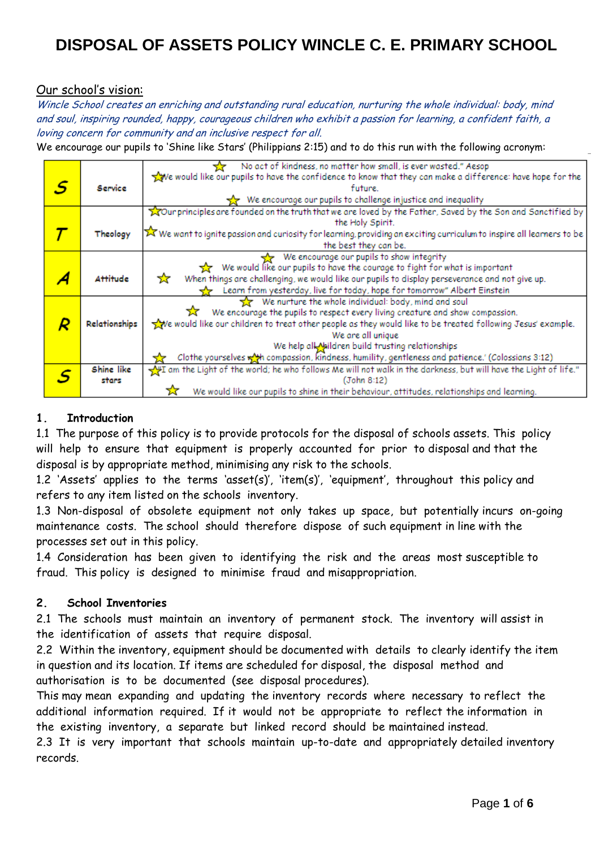# Our school's vision:

Wincle School creates an enriching and outstanding rural education, nurturing the whole individual: body, mind and soul, inspiring rounded, happy, courageous children who exhibit a passion for learning, a confident faith, a loving concern for community and an inclusive respect for all.

We encourage our pupils to 'Shine like Stars' (Philippians 2:15) and to do this run with the following acronym:

| S | Service             | No act of kindness, no matter how small, is ever wasted." Aesop<br>we would like our pupils to have the confidence to know that they can make a difference: have hope for the<br>future.<br>$\frac{1}{2\sqrt{2}}$ We encourage our pupils to challenge injustice and inequality                                                                                                                                                     |
|---|---------------------|-------------------------------------------------------------------------------------------------------------------------------------------------------------------------------------------------------------------------------------------------------------------------------------------------------------------------------------------------------------------------------------------------------------------------------------|
|   | Theology            | Tour principles are founded on the truth that we are loved by the Father, Saved by the Son and Sanctified by<br>the Holy Spirit.<br>X We want to ignite passion and curiosity for learning, providing an exciting curriculum to inspire all learners to be<br>the best they can be.                                                                                                                                                 |
|   | <b>Attitude</b>     | We encourage our pupils to show integrity<br>We would like our pupils to have the courage to fight for what is important<br>When things are challenging, we would like our pupils to display perseverance and not give up.<br>☆<br>Learn from yesterday, live for today, hope for tomorrow" Albert Einstein                                                                                                                         |
|   | Relationships       | We nurture the whole individual: body, mind and soul<br>We encourage the pupils to respect every living creature and show compassion.<br>we would like our children to treat other people as they would like to be treated following Jesus' example.<br>We are all unique<br>We help all Maildren build trusting relationships<br>Clothe yourselves wat compassion, kindness, humility, gentleness and patience.' (Colossians 3:12) |
|   | Shine like<br>stars | $\frac{1}{\sqrt{2}}$ I am the Light of the world; he who follows Me will not walk in the darkness, but will have the Light of life."<br>(John 8:12)<br>We would like our pupils to shine in their behaviour, attitudes, relationships and learning.                                                                                                                                                                                 |

### **1. Introduction**

1.1 The purpose of this policy is to provide protocols for the disposal of schools assets. This policy will help to ensure that equipment is properly accounted for prior to disposal and that the disposal is by appropriate method, minimising any risk to the schools.

1.2 'Assets' applies to the terms 'asset(s)', 'item(s)', 'equipment', throughout this policy and refers to any item listed on the schools inventory.

1.3 Non-disposal of obsolete equipment not only takes up space, but potentially incurs on-going maintenance costs. The school should therefore dispose of such equipment in line with the processes set out in this policy.

1.4 Consideration has been given to identifying the risk and the areas most susceptible to fraud. This policy is designed to minimise fraud and misappropriation.

# **2. School Inventories**

2.1 The schools must maintain an inventory of permanent stock. The inventory will assist in the identification of assets that require disposal.

2.2 Within the inventory, equipment should be documented with details to clearly identify the item in question and its location. If items are scheduled for disposal, the disposal method and authorisation is to be documented (see disposal procedures).

This may mean expanding and updating the inventory records where necessary to reflect the additional information required. If it would not be appropriate to reflect the information in the existing inventory, a separate but linked record should be maintained instead.

2.3 It is very important that schools maintain up-to-date and appropriately detailed inventory records.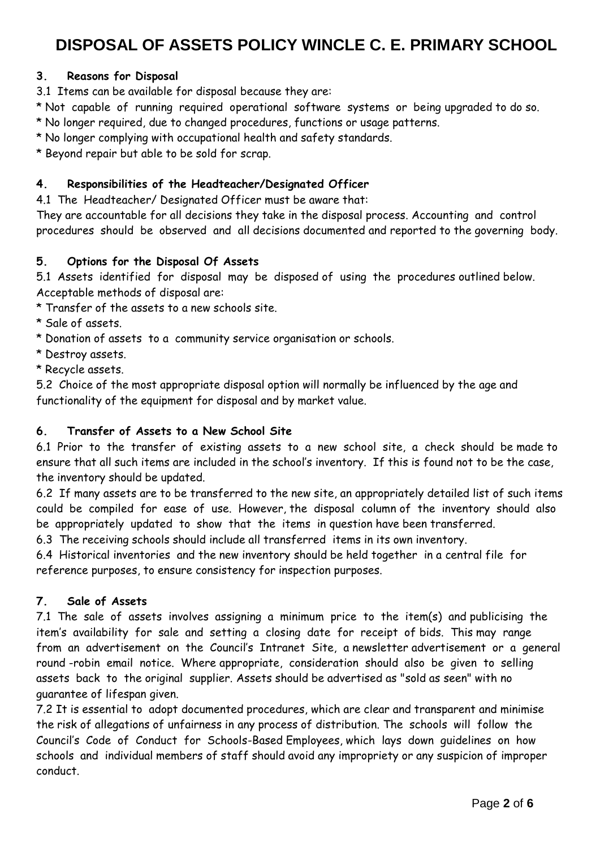# **3. Reasons for Disposal**

- 3.1 Items can be available for disposal because they are:
- \* Not capable of running required operational software systems or being upgraded to do so.
- \* No longer required, due to changed procedures, functions or usage patterns.
- \* No longer complying with occupational health and safety standards.
- \* Beyond repair but able to be sold for scrap.

# **4. Responsibilities of the Headteacher/Designated Officer**

4.1 The Headteacher/ Designated Officer must be aware that:

They are accountable for all decisions they take in the disposal process. Accounting and control procedures should be observed and all decisions documented and reported to the governing body.

# **5. Options for the Disposal Of Assets**

5.1 Assets identified for disposal may be disposed of using the procedures outlined below. Acceptable methods of disposal are:

- \* Transfer of the assets to a new schools site.
- \* Sale of assets.
- \* Donation of assets to a community service organisation or schools.
- \* Destroy assets.
- \* Recycle assets.

5.2 Choice of the most appropriate disposal option will normally be influenced by the age and functionality of the equipment for disposal and by market value.

# **6. Transfer of Assets to a New School Site**

6.1 Prior to the transfer of existing assets to a new school site, a check should be made to ensure that all such items are included in the school's inventory. If this is found not to be the case, the inventory should be updated.

6.2 If many assets are to be transferred to the new site, an appropriately detailed list of such items could be compiled for ease of use. However, the disposal column of the inventory should also be appropriately updated to show that the items in question have been transferred.

6.3 The receiving schools should include all transferred items in its own inventory.

6.4 Historical inventories and the new inventory should be held together in a central file for reference purposes, to ensure consistency for inspection purposes.

# **7. Sale of Assets**

7.1 The sale of assets involves assigning a minimum price to the item(s) and publicising the item's availability for sale and setting a closing date for receipt of bids. This may range from an advertisement on the Council's Intranet Site, a newsletter advertisement or a general round -robin email notice. Where appropriate, consideration should also be given to selling assets back to the original supplier. Assets should be advertised as "sold as seen" with no guarantee of lifespan given.

7.2 It is essential to adopt documented procedures, which are clear and transparent and minimise the risk of allegations of unfairness in any process of distribution. The schools will follow the Council's Code of Conduct for Schools-Based Employees, which lays down guidelines on how schools and individual members of staff should avoid any impropriety or any suspicion of improper conduct.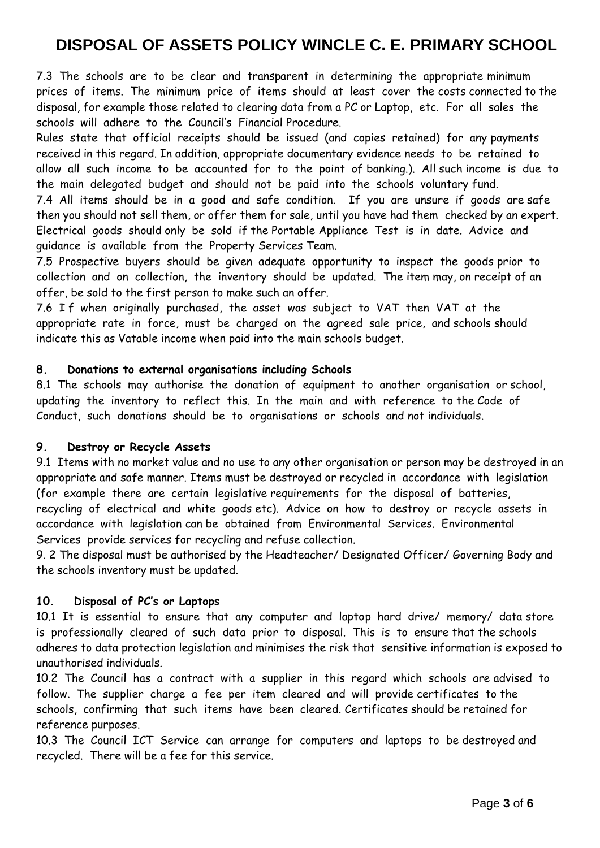7.3 The schools are to be clear and transparent in determining the appropriate minimum prices of items. The minimum price of items should at least cover the costs connected to the disposal, for example those related to clearing data from a PC or Laptop, etc. For all sales the schools will adhere to the Council's Financial Procedure.

Rules state that official receipts should be issued (and copies retained) for any payments received in this regard. In addition, appropriate documentary evidence needs to be retained to allow all such income to be accounted for to the point of banking.). All such income is due to the main delegated budget and should not be paid into the schools voluntary fund.

7.4 All items should be in a good and safe condition. If you are unsure if goods are safe then you should not sell them, or offer them for sale, until you have had them checked by an expert. Electrical goods should only be sold if the Portable Appliance Test is in date. Advice and guidance is available from the Property Services Team.

7.5 Prospective buyers should be given adequate opportunity to inspect the goods prior to collection and on collection, the inventory should be updated. The item may, on receipt of an offer, be sold to the first person to make such an offer.

7.6 If when originally purchased, the asset was subject to VAT then VAT at the appropriate rate in force, must be charged on the agreed sale price, and schools should indicate this as Vatable income when paid into the main schools budget.

### **8. Donations to external organisations including Schools**

8.1 The schools may authorise the donation of equipment to another organisation or school, updating the inventory to reflect this. In the main and with reference to the Code of Conduct, such donations should be to organisations or schools and not individuals.

#### **9. Destroy or Recycle Assets**

9.1 Items with no market value and no use to any other organisation or person may be destroyed in an appropriate and safe manner. Items must be destroyed or recycled in accordance with legislation (for example there are certain legislative requirements for the disposal of batteries, recycling of electrical and white goods etc). Advice on how to destroy or recycle assets in accordance with legislation can be obtained from Environmental Services. Environmental Services provide services for recycling and refuse collection.

9. 2 The disposal must be authorised by the Headteacher/ Designated Officer/ Governing Body and the schools inventory must be updated.

### **10. Disposal of PC's or Laptops**

10.1 It is essential to ensure that any computer and laptop hard drive/ memory/ data store is professionally cleared of such data prior to disposal. This is to ensure that the schools adheres to data protection legislation and minimises the risk that sensitive information is exposed to unauthorised individuals.

10.2 The Council has a contract with a supplier in this regard which schools are advised to follow. The supplier charge a fee per item cleared and will provide certificates to the schools, confirming that such items have been cleared. Certificates should be retained for reference purposes.

10.3 The Council ICT Service can arrange for computers and laptops to be destroyed and recycled. There will be a fee for this service.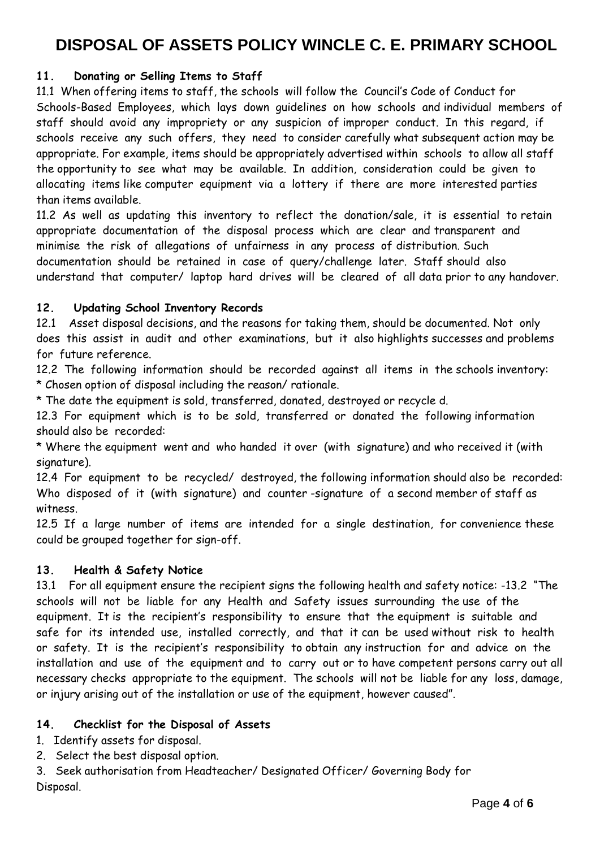# **11. Donating or Selling Items to Staff**

11.1 When offering items to staff, the schools will follow the Council's Code of Conduct for Schools-Based Employees, which lays down guidelines on how schools and individual members of staff should avoid any impropriety or any suspicion of improper conduct. In this regard, if schools receive any such offers, they need to consider carefully what subsequent action may be appropriate. For example, items should be appropriately advertised within schools to allow all staff the opportunity to see what may be available. In addition, consideration could be given to allocating items like computer equipment via a lottery if there are more interested parties than items available.

11.2 As well as updating this inventory to reflect the donation/sale, it is essential to retain appropriate documentation of the disposal process which are clear and transparent and minimise the risk of allegations of unfairness in any process of distribution. Such documentation should be retained in case of query/challenge later. Staff should also understand that computer/ laptop hard drives will be cleared of all data prior to any handover.

## **12. Updating School Inventory Records**

12.1 Asset disposal decisions, and the reasons for taking them, should be documented. Not only does this assist in audit and other examinations, but it also highlights successes and problems for future reference.

12.2 The following information should be recorded against all items in the schools inventory: \* Chosen option of disposal including the reason/ rationale.

\* The date the equipment is sold, transferred, donated, destroyed or recycle d.

12.3 For equipment which is to be sold, transferred or donated the following information should also be recorded:

\* Where the equipment went and who handed it over (with signature) and who received it (with signature).

12.4 For equipment to be recycled/ destroyed, the following information should also be recorded: Who disposed of it (with signature) and counter -signature of a second member of staff as witness.

12.5 If a large number of items are intended for a single destination, for convenience these could be grouped together for sign-off.

# **13. Health & Safety Notice**

13.1 For all equipment ensure the recipient signs the following health and safety notice: -13.2 "The schools will not be liable for any Health and Safety issues surrounding the use of the equipment. It is the recipient's responsibility to ensure that the equipment is suitable and safe for its intended use, installed correctly, and that it can be used without risk to health or safety. It is the recipient's responsibility to obtain any instruction for and advice on the installation and use of the equipment and to carry out or to have competent persons carry out all necessary checks appropriate to the equipment. The schools will not be liable for any loss, damage, or injury arising out of the installation or use of the equipment, however caused".

# **14. Checklist for the Disposal of Assets**

- 1. Identify assets for disposal.
- 2. Select the best disposal option.

3. Seek authorisation from Headteacher/ Designated Officer/ Governing Body for Disposal.